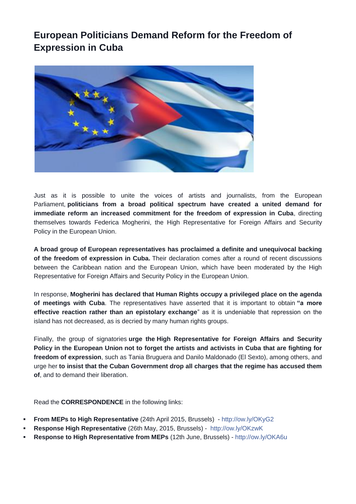## **European Politicians Demand Reform for the Freedom of Expression in Cuba**



Just as it is possible to unite the voices of artists and journalists, from the European Parliament, **politicians from a broad political spectrum have created a united demand for immediate reform an increased commitment for the freedom of expression in Cuba**, directing themselves towards Federica Mogherini, the High Representative for Foreign Affairs and Security Policy in the European Union.

**A broad group of European representatives has proclaimed a definite and unequivocal backing of the freedom of expression in Cuba.** Their declaration comes after a round of recent discussions between the Caribbean nation and the European Union, which have been moderated by the High Representative for Foreign Affairs and Security Policy in the European Union.

In response, **Mogherini has declared that Human Rights occupy a privileged place on the agenda of meetings with Cuba**. The representatives have asserted that it is important to obtain **"a more effective reaction rather than an epistolary exchange**" as it is undeniable that repression on the island has not decreased, as is decried by many human rights groups.

Finally, the group of signatories **urge the High Representative for Foreign Affairs and Security Policy in the European Union not to forget the artists and activists in Cuba that are fighting for freedom of expression**, such as Tania Bruguera and Danilo Maldonado (El Sexto), among others, and urge her **to insist that the Cuban Government drop all charges that the regime has accused them of**, and to demand their liberation.

Read the **CORRESPONDENCE** in the following links:

- **From MEPs to High Representative** (24th April 2015, Brussels) [http://ow.ly/OKyG2](http://l.facebook.com/l.php?u=http%3A%2F%2Fow.ly%2FOKyG2&h=XAQFQhmCZ&s=1)
- **Response High Representative** (26th May, 2015, Brussels) [http://ow.ly/OKzwK](http://l.facebook.com/l.php?u=http%3A%2F%2Fow.ly%2FOKzwK&h=QAQGsYfb3&s=1)
- **Response to High Representative from MEPs** (12th June, Brussels) [http://ow.ly/OKA6u](http://l.facebook.com/l.php?u=http%3A%2F%2Fow.ly%2FOKA6u&h=KAQFWwgPW&s=1)